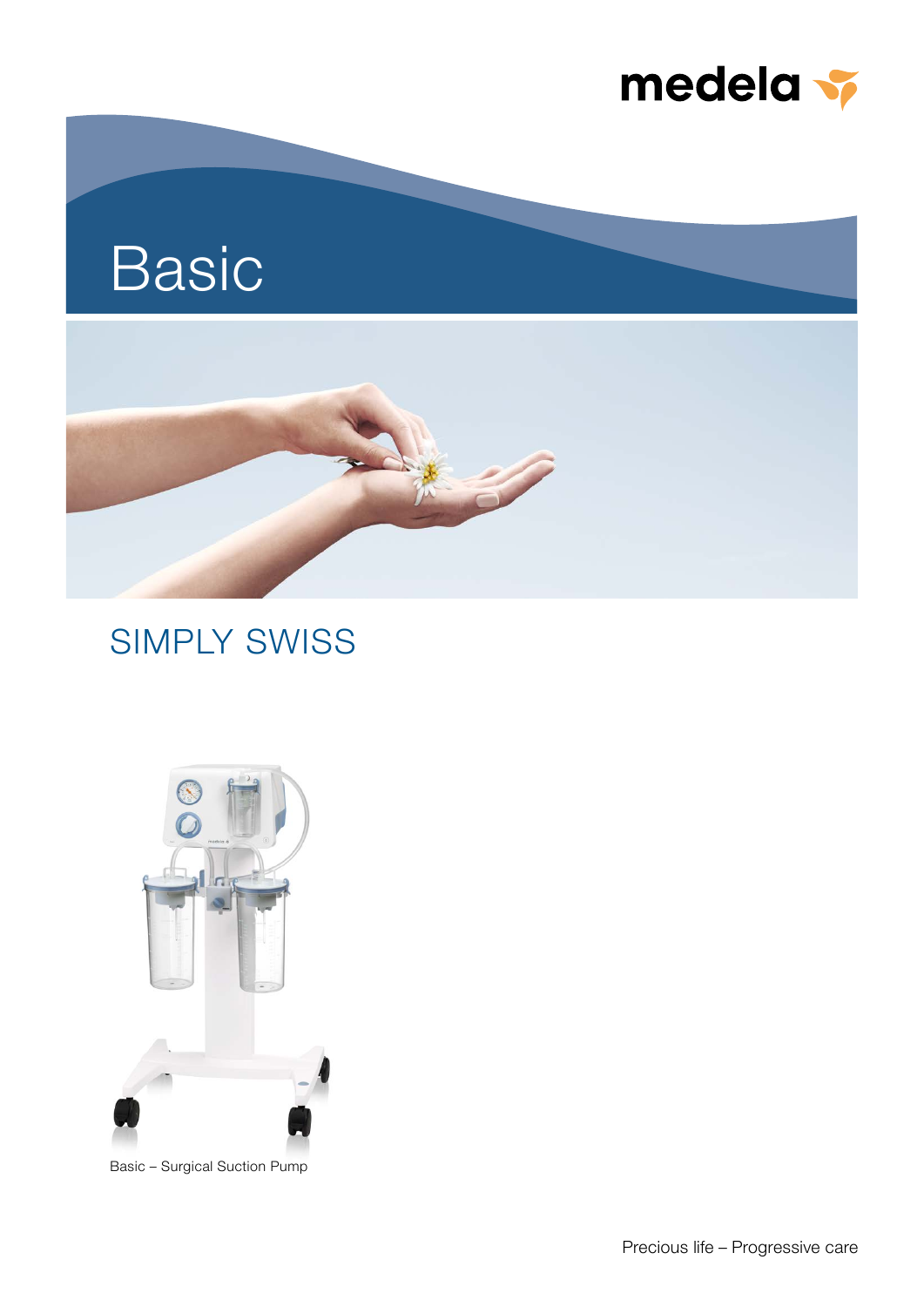

## Basic



### SIMPLY SWISS



Basic – Surgical Suction Pump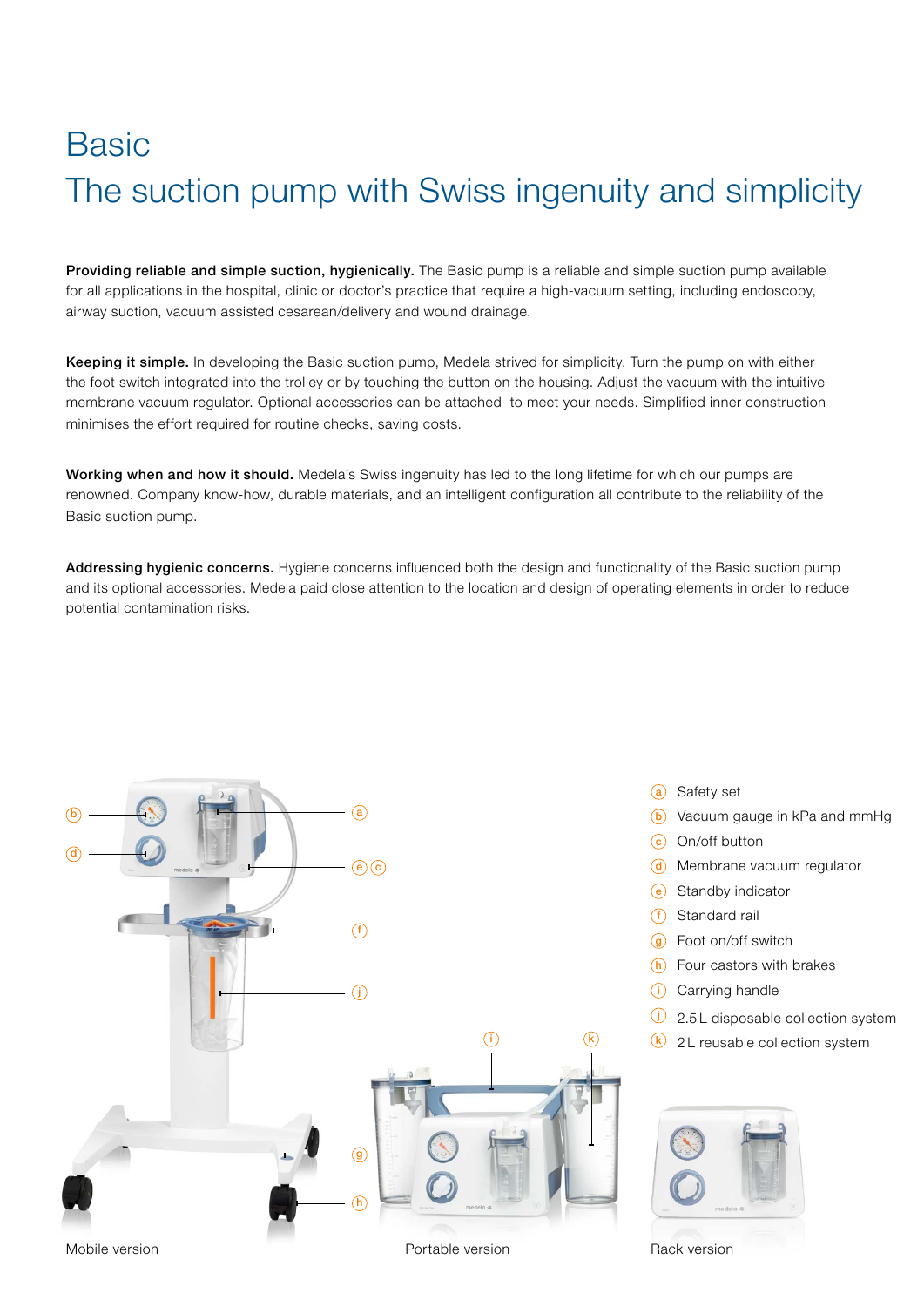## **Basic** The suction pump with Swiss ingenuity and simplicity

Providing reliable and simple suction, hygienically. The Basic pump is a reliable and simple suction pump available for all applications in the hospital, clinic or doctor's practice that require a high-vacuum setting, including endoscopy, airway suction, vacuum assisted cesarean/delivery and wound drainage.

Keeping it simple. In developing the Basic suction pump, Medela strived for simplicity. Turn the pump on with either the foot switch integrated into the trolley or by touching the button on the housing. Adjust the vacuum with the intuitive membrane vacuum regulator. Optional accessories can be attached to meet your needs. Simplified inner construction minimises the effort required for routine checks, saving costs.

Working when and how it should. Medela's Swiss ingenuity has led to the long lifetime for which our pumps are renowned. Company know-how, durable materials, and an intelligent configuration all contribute to the reliability of the Basic suction pump.

Addressing hygienic concerns. Hygiene concerns influenced both the design and functionality of the Basic suction pump and its optional accessories. Medela paid close attention to the location and design of operating elements in order to reduce potential contamination risks.



- (a) Safety set
- **b** Vacuum gauge in kPa and mmHg
- $(c)$  On/off button
- d Membrane vacuum regulator
- e Standby indicator
- f Standard rail
- $\overline{g}$  Foot on/off switch
- $(h)$  Four castors with brakes
- (i) Carrying handle
- $\overline{1}$  2.5 L disposable collection system
- $\overline{k}$  2 L reusable collection system



Rack version

Mobile version

Portable version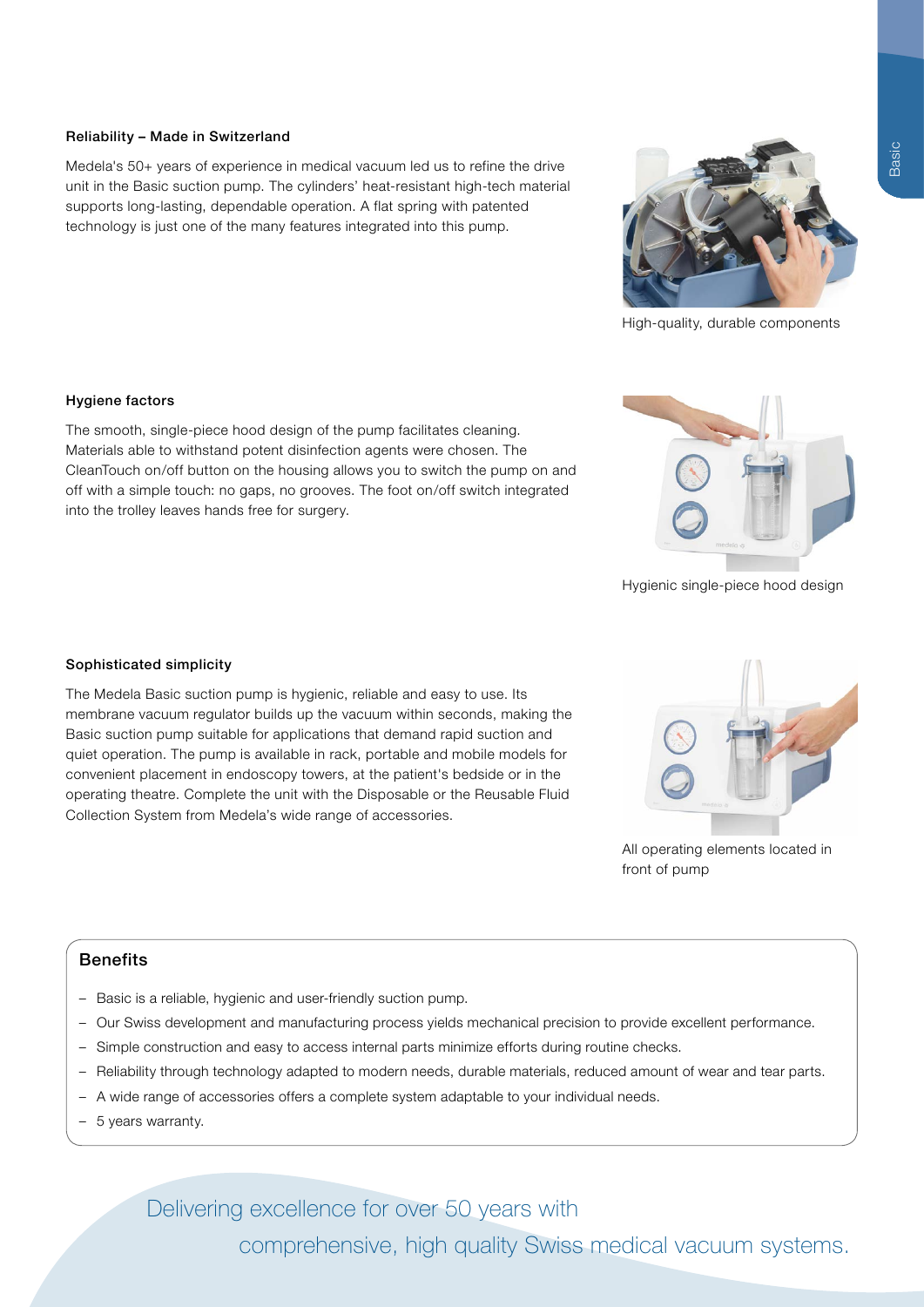#### Reliability – Made in Switzerland

Medela's 50+ years of experience in medical vacuum led us to refine the drive unit in the Basic suction pump. The cylinders' heat-resistant high-tech material supports long-lasting, dependable operation. A flat spring with patented technology is just one of the many features integrated into this pump.

#### Hygiene factors

The smooth, single-piece hood design of the pump facilitates cleaning. Materials able to withstand potent disinfection agents were chosen. The CleanTouch on/off button on the housing allows you to switch the pump on and off with a simple touch: no gaps, no grooves. The foot on/off switch integrated into the trolley leaves hands free for surgery.

#### Sophisticated simplicity

The Medela Basic suction pump is hygienic, reliable and easy to use. Its membrane vacuum regulator builds up the vacuum within seconds, making the Basic suction pump suitable for applications that demand rapid suction and quiet operation. The pump is available in rack, portable and mobile models for convenient placement in endoscopy towers, at the patient's bedside or in the operating theatre. Complete the unit with the Disposable or the Reusable Fluid Collection System from Medela's wide range of accessories.

#### -<br>-Benefits

- Basic is a reliable, hygienic and user-friendly suction pump.
- Our Swiss development and manufacturing process yields mechanical precision to provide excellent performance.
- Simple construction and easy to access internal parts minimize efforts during routine checks.
- Reliability through technology adapted to modern needs, durable materials, reduced amount of wear and tear parts.
- A wide range of accessories offers a complete system adaptable to your individual needs.
- 5 years warranty.

Delivering excellence for over 50 years with

comprehensive, high quality Swiss medical vacuum systems.



All operating elements located in

front of pump